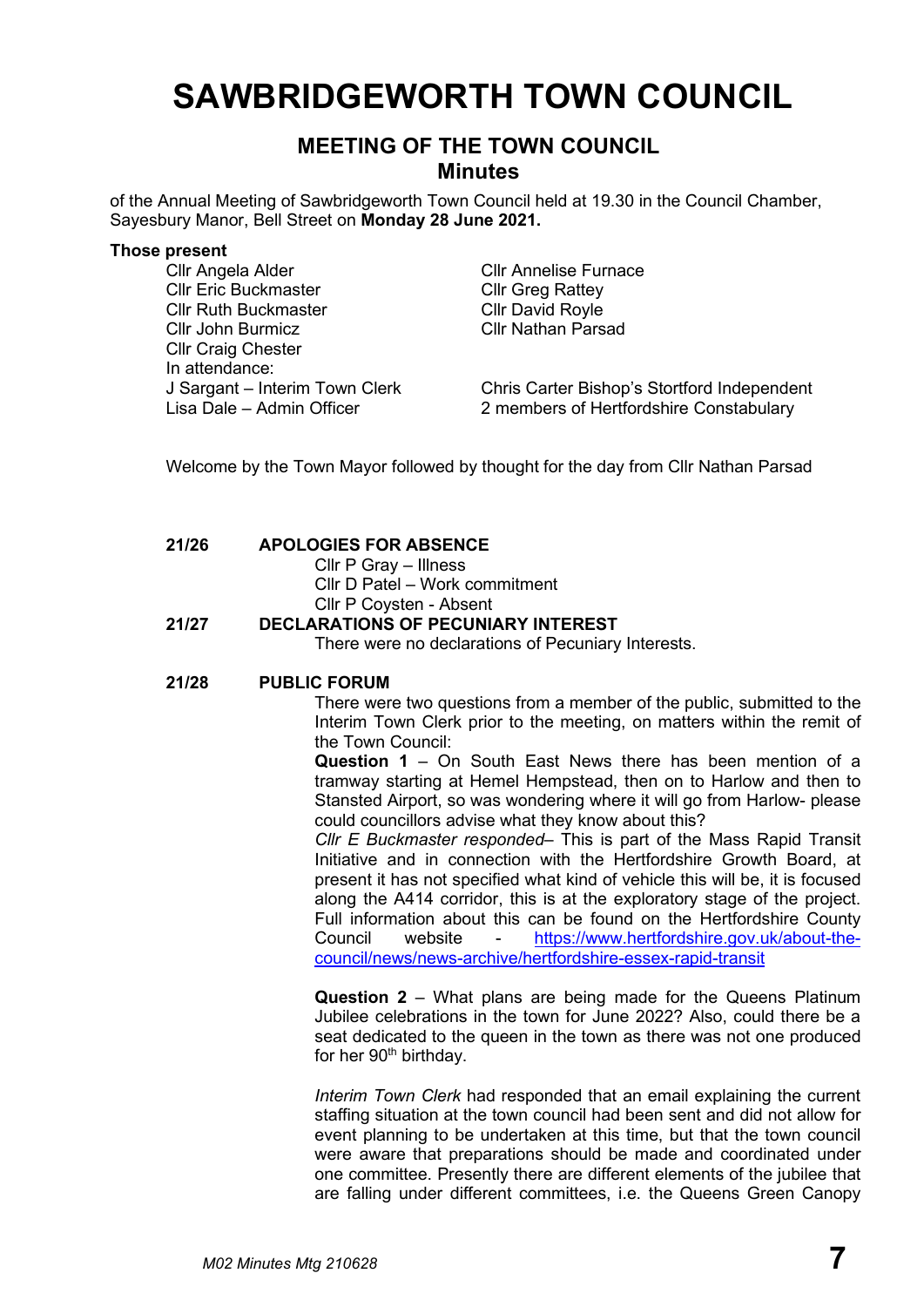# **SAWBRIDGEWORTH TOWN COUNCIL**

## **MEETING OF THE TOWN COUNCIL Minutes**

of the Annual Meeting of Sawbridgeworth Town Council held at 19.30 in the Council Chamber, Sayesbury Manor, Bell Street on **Monday 28 June 2021.**

#### **Those present**

Cllr Angela Alder Cllr Annelise Furnace Cllr Eric Buckmaster Cllr Greg Rattey Cllr Ruth Buckmaster Cllr David Royle Cllr John Burmicz Cllr Nathan Parsad Cllr Craig Chester In attendance:

J Sargant – Interim Town Clerk Chris Carter Bishop's Stortford Independent Lisa Dale – Admin Officer 2 members of Hertfordshire Constabulary

Welcome by the Town Mayor followed by thought for the day from Cllr Nathan Parsad

## **21/26 APOLOGIES FOR ABSENCE**

- Cllr P Gray Illness
- Cllr D Patel Work commitment
- Cllr P Coysten Absent

## **21/27 DECLARATIONS OF PECUNIARY INTEREST**

There were no declarations of Pecuniary Interests.

## **21/28 PUBLIC FORUM**

There were two questions from a member of the public, submitted to the Interim Town Clerk prior to the meeting, on matters within the remit of the Town Council:

**Question 1** – On South East News there has been mention of a tramway starting at Hemel Hempstead, then on to Harlow and then to Stansted Airport, so was wondering where it will go from Harlow- please could councillors advise what they know about this?

*Cllr E Buckmaster responded*– This is part of the Mass Rapid Transit Initiative and in connection with the Hertfordshire Growth Board, at present it has not specified what kind of vehicle this will be, it is focused along the A414 corridor, this is at the exploratory stage of the project. Full information about this can be found on the Hertfordshire County Council website - [https://www.hertfordshire.gov.uk/about-the](https://www.hertfordshire.gov.uk/about-the-council/news/news-archive/hertfordshire-essex-rapid-transit)[council/news/news-archive/hertfordshire-essex-rapid-transit](https://www.hertfordshire.gov.uk/about-the-council/news/news-archive/hertfordshire-essex-rapid-transit)

**Question 2** – What plans are being made for the Queens Platinum Jubilee celebrations in the town for June 2022? Also, could there be a seat dedicated to the queen in the town as there was not one produced for her 90<sup>th</sup> birthday.

*Interim Town Clerk* had responded that an email explaining the current staffing situation at the town council had been sent and did not allow for event planning to be undertaken at this time, but that the town council were aware that preparations should be made and coordinated under one committee. Presently there are different elements of the jubilee that are falling under different committees, i.e. the Queens Green Canopy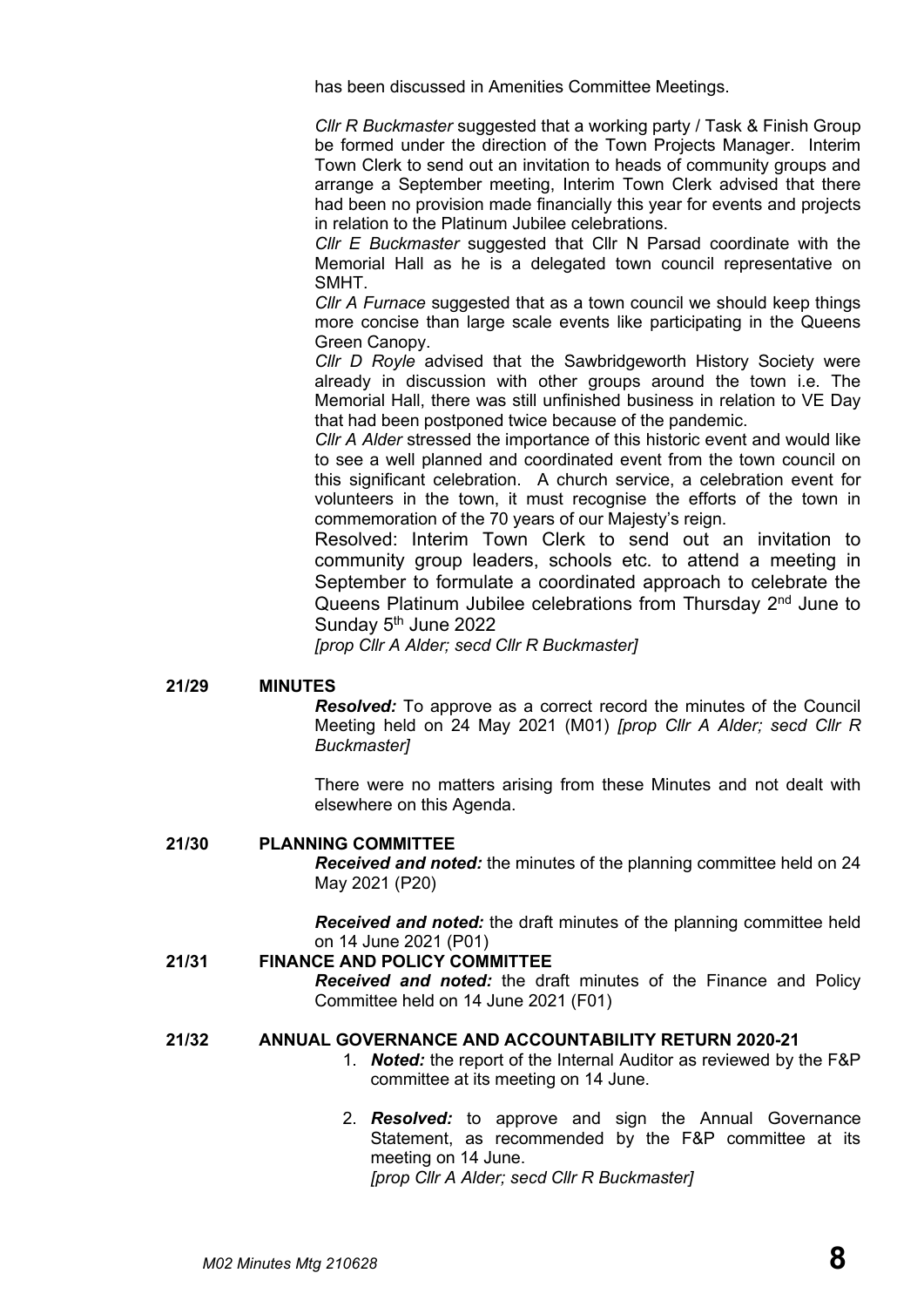has been discussed in Amenities Committee Meetings.

*Cllr R Buckmaster* suggested that a working party / Task & Finish Group be formed under the direction of the Town Projects Manager. Interim Town Clerk to send out an invitation to heads of community groups and arrange a September meeting, Interim Town Clerk advised that there had been no provision made financially this year for events and projects in relation to the Platinum Jubilee celebrations.

*Cllr E Buckmaster* suggested that Cllr N Parsad coordinate with the Memorial Hall as he is a delegated town council representative on **SMHT** 

*Cllr A Furnace* suggested that as a town council we should keep things more concise than large scale events like participating in the Queens Green Canopy.

*Cllr D Royle* advised that the Sawbridgeworth History Society were already in discussion with other groups around the town i.e. The Memorial Hall, there was still unfinished business in relation to VE Day that had been postponed twice because of the pandemic.

*Cllr A Alder* stressed the importance of this historic event and would like to see a well planned and coordinated event from the town council on this significant celebration. A church service, a celebration event for volunteers in the town, it must recognise the efforts of the town in commemoration of the 70 years of our Majesty's reign.

Resolved: Interim Town Clerk to send out an invitation to community group leaders, schools etc. to attend a meeting in September to formulate a coordinated approach to celebrate the Queens Platinum Jubilee celebrations from Thursday 2<sup>nd</sup> June to Sunday 5<sup>th</sup> June 2022

*[prop Cllr A Alder; secd Cllr R Buckmaster]*

#### **21/29 MINUTES**

*Resolved:* To approve as a correct record the minutes of the Council Meeting held on 24 May 2021 (M01) *[prop Cllr A Alder; secd Cllr R Buckmaster]*

There were no matters arising from these Minutes and not dealt with elsewhere on this Agenda.

## **21/30 PLANNING COMMITTEE**

*Received and noted:* the minutes of the planning committee held on 24 May 2021 (P20)

*Received and noted:* the draft minutes of the planning committee held on 14 June 2021 (P01)

## **21/31 FINANCE AND POLICY COMMITTEE**

*Received and noted:* the draft minutes of the Finance and Policy Committee held on 14 June 2021 (F01)

#### **21/32 ANNUAL GOVERNANCE AND ACCOUNTABILITY RETURN 2020-21**

- 1. *Noted:* the report of the Internal Auditor as reviewed by the F&P committee at its meeting on 14 June.
- 2. *Resolved:* to approve and sign the Annual Governance Statement, as recommended by the F&P committee at its meeting on 14 June. *[prop Cllr A Alder; secd Cllr R Buckmaster]*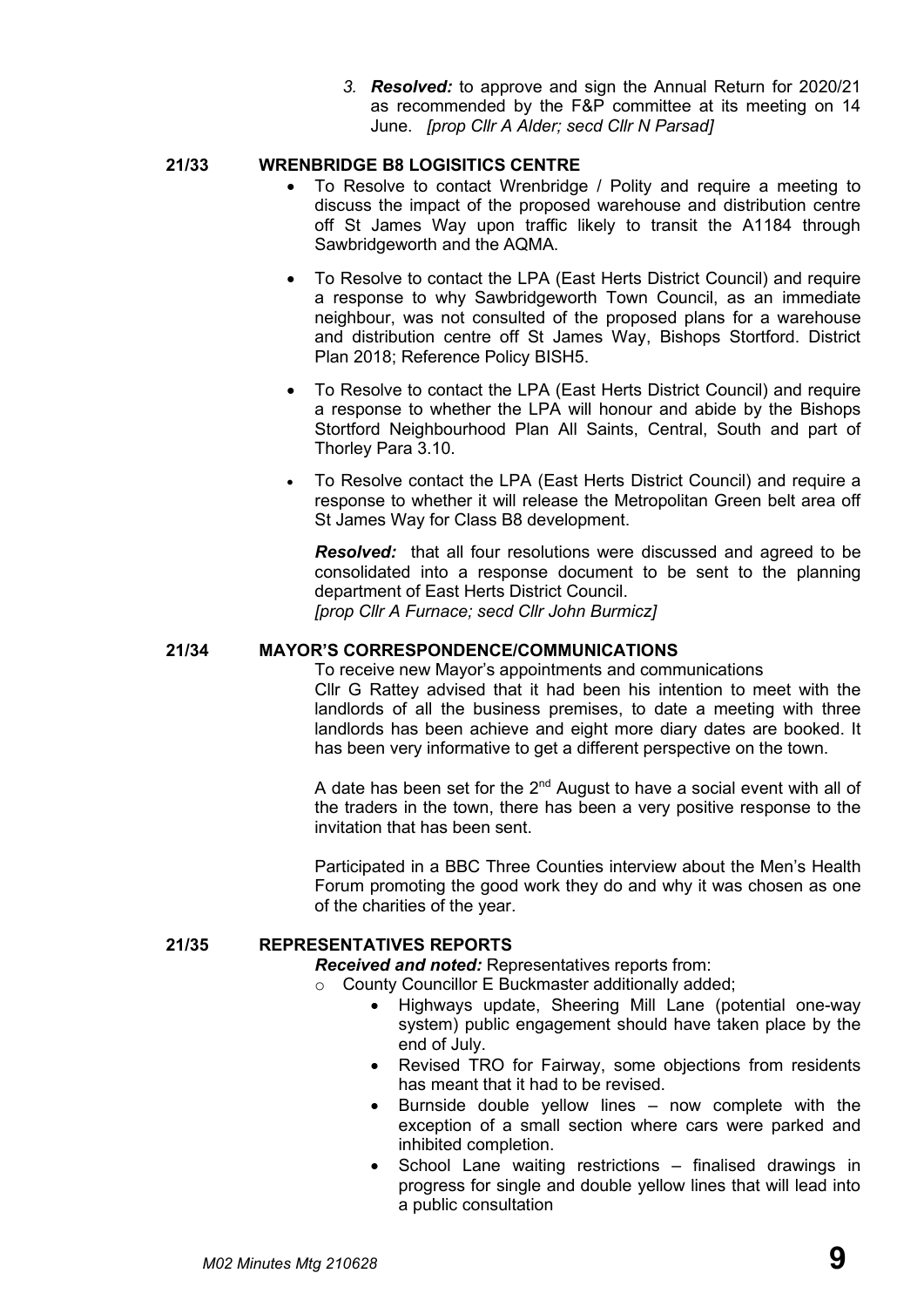*3. Resolved:* to approve and sign the Annual Return for 2020/21 as recommended by the F&P committee at its meeting on 14 June. *[prop Cllr A Alder; secd Cllr N Parsad]*

## **21/33 WRENBRIDGE B8 LOGISITICS CENTRE**

- To Resolve to contact Wrenbridge / Polity and require a meeting to discuss the impact of the proposed warehouse and distribution centre off St James Way upon traffic likely to transit the A1184 through Sawbridgeworth and the AQMA.
- To Resolve to contact the LPA (East Herts District Council) and require a response to why Sawbridgeworth Town Council, as an immediate neighbour, was not consulted of the proposed plans for a warehouse and distribution centre off St James Way, Bishops Stortford. District Plan 2018; Reference Policy BISH5.
- To Resolve to contact the LPA (East Herts District Council) and require a response to whether the LPA will honour and abide by the Bishops Stortford Neighbourhood Plan All Saints, Central, South and part of Thorley Para 3.10.
- To Resolve contact the LPA (East Herts District Council) and require a response to whether it will release the Metropolitan Green belt area off St James Way for Class B8 development.

*Resolved:* that all four resolutions were discussed and agreed to be consolidated into a response document to be sent to the planning department of East Herts District Council. *[prop Cllr A Furnace; secd Cllr John Burmicz]*

### **21/34 MAYOR'S CORRESPONDENCE/COMMUNICATIONS**

To receive new Mayor's appointments and communications Cllr G Rattey advised that it had been his intention to meet with the landlords of all the business premises, to date a meeting with three landlords has been achieve and eight more diary dates are booked. It has been very informative to get a different perspective on the town.

A date has been set for the  $2<sup>nd</sup>$  August to have a social event with all of the traders in the town, there has been a very positive response to the invitation that has been sent.

Participated in a BBC Three Counties interview about the Men's Health Forum promoting the good work they do and why it was chosen as one of the charities of the year.

## **21/35 REPRESENTATIVES REPORTS**

*Received and noted:* Representatives reports from:

- o County Councillor E Buckmaster additionally added;
	- Highways update, Sheering Mill Lane (potential one-way system) public engagement should have taken place by the end of July.
	- Revised TRO for Fairway, some objections from residents has meant that it had to be revised.
	- Burnside double yellow lines  $-$  now complete with the exception of a small section where cars were parked and inhibited completion.
	- School Lane waiting restrictions finalised drawings in progress for single and double yellow lines that will lead into a public consultation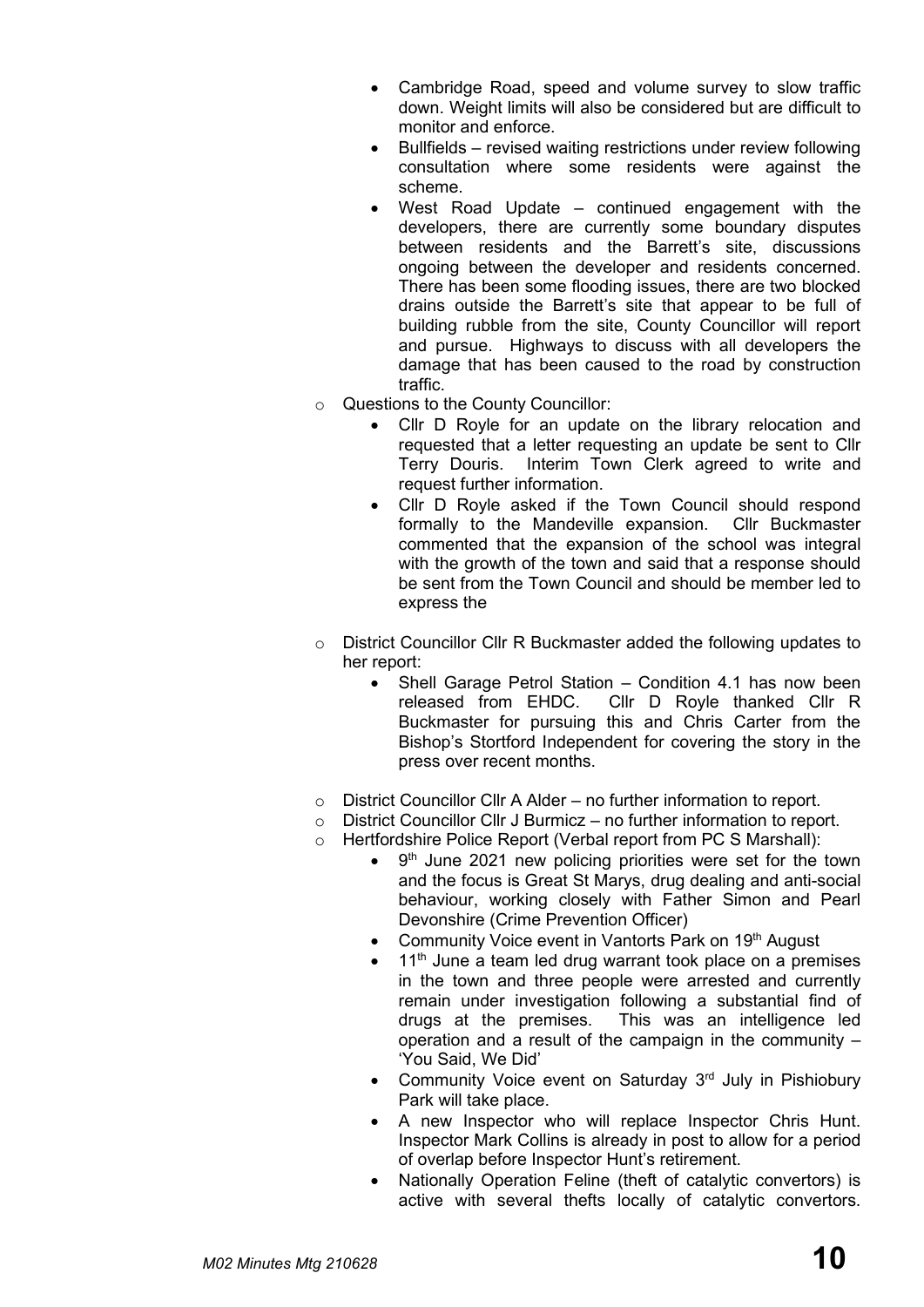- Cambridge Road, speed and volume survey to slow traffic down. Weight limits will also be considered but are difficult to monitor and enforce.
- Bullfields revised waiting restrictions under review following consultation where some residents were against the scheme.
- West Road Update  $-$  continued engagement with the developers, there are currently some boundary disputes between residents and the Barrett's site, discussions ongoing between the developer and residents concerned. There has been some flooding issues, there are two blocked drains outside the Barrett's site that appear to be full of building rubble from the site, County Councillor will report and pursue. Highways to discuss with all developers the damage that has been caused to the road by construction traffic.
- o Questions to the County Councillor:
	- Cllr D Royle for an update on the library relocation and requested that a letter requesting an update be sent to Cllr Terry Douris. Interim Town Clerk agreed to write and request further information.
	- Cllr D Royle asked if the Town Council should respond formally to the Mandeville expansion. Cllr Buckmaster commented that the expansion of the school was integral with the growth of the town and said that a response should be sent from the Town Council and should be member led to express the
- o District Councillor Cllr R Buckmaster added the following updates to her report:
	- Shell Garage Petrol Station Condition 4.1 has now been released from EHDC. Cllr D Royle thanked Cllr R Buckmaster for pursuing this and Chris Carter from the Bishop's Stortford Independent for covering the story in the press over recent months.
- $\circ$  District Councillor Cllr A Alder no further information to report.
- o District Councillor Cllr J Burmicz no further information to report.
- o Hertfordshire Police Report (Verbal report from PC S Marshall):
	- $\bullet$  $9<sup>th</sup>$  June 2021 new policing priorities were set for the town and the focus is Great St Marys, drug dealing and anti-social behaviour, working closely with Father Simon and Pearl Devonshire (Crime Prevention Officer)
	- Community Voice event in Vantorts Park on 19<sup>th</sup> August
	- $11<sup>th</sup>$  June a team led drug warrant took place on a premises in the town and three people were arrested and currently remain under investigation following a substantial find of drugs at the premises. This was an intelligence led operation and a result of the campaign in the community – 'You Said, We Did'
	- Community Voice event on Saturday  $3<sup>rd</sup>$  July in Pishiobury Park will take place.
	- A new Inspector who will replace Inspector Chris Hunt. Inspector Mark Collins is already in post to allow for a period of overlap before Inspector Hunt's retirement.
	- Nationally Operation Feline (theft of catalytic convertors) is active with several thefts locally of catalytic convertors.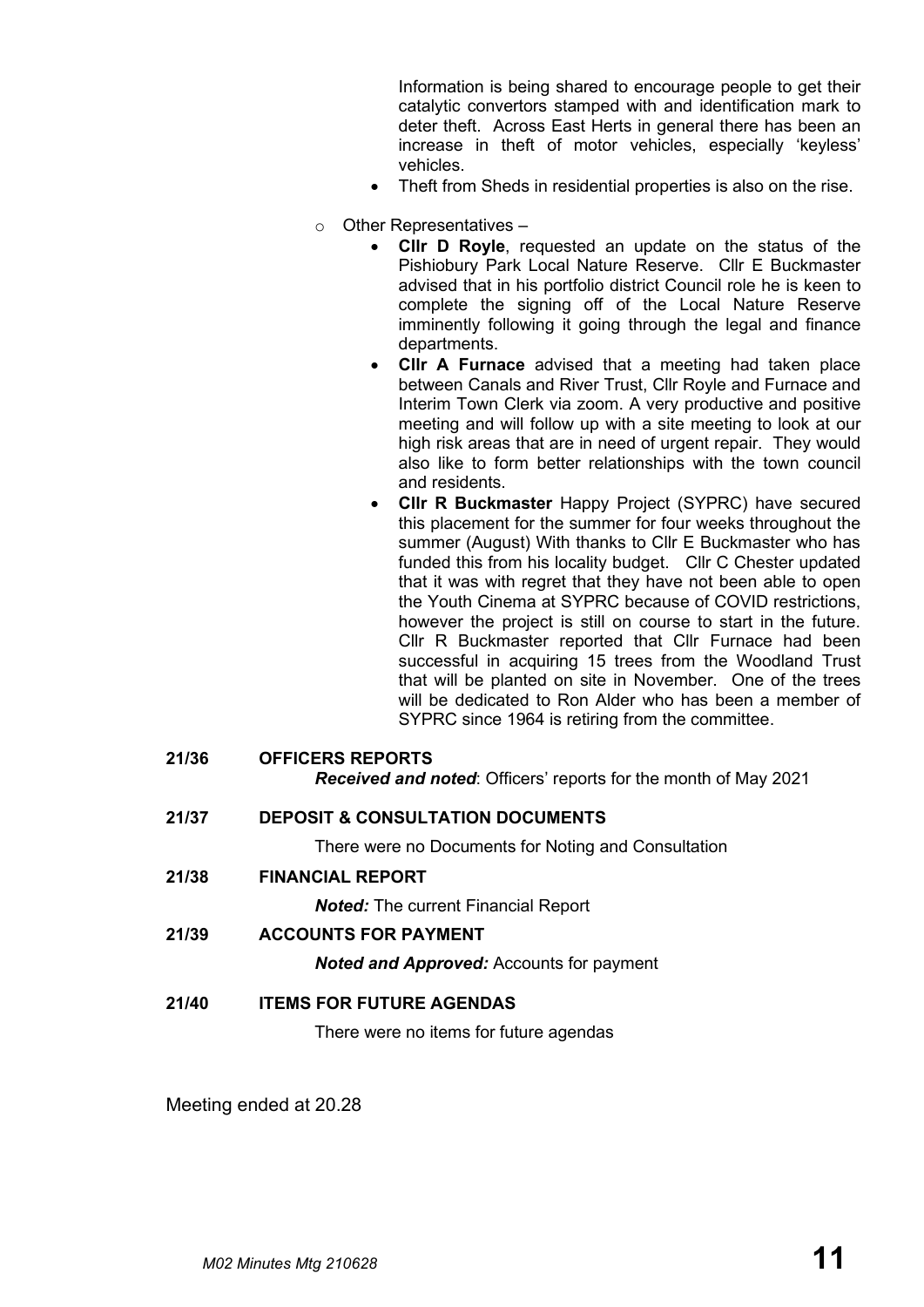Information is being shared to encourage people to get their catalytic convertors stamped with and identification mark to deter theft. Across East Herts in general there has been an increase in theft of motor vehicles, especially 'keyless' vehicles.

- Theft from Sheds in residential properties is also on the rise.
- o Other Representatives
	- **Cllr D Royle**, requested an update on the status of the Pishiobury Park Local Nature Reserve. Cllr E Buckmaster advised that in his portfolio district Council role he is keen to complete the signing off of the Local Nature Reserve imminently following it going through the legal and finance departments.
	- **Cllr A Furnace** advised that a meeting had taken place between Canals and River Trust, Cllr Royle and Furnace and Interim Town Clerk via zoom. A very productive and positive meeting and will follow up with a site meeting to look at our high risk areas that are in need of urgent repair. They would also like to form better relationships with the town council and residents.
	- **Cllr R Buckmaster** Happy Project (SYPRC) have secured this placement for the summer for four weeks throughout the summer (August) With thanks to Cllr E Buckmaster who has funded this from his locality budget. Cllr C Chester updated that it was with regret that they have not been able to open the Youth Cinema at SYPRC because of COVID restrictions, however the project is still on course to start in the future. Cllr R Buckmaster reported that Cllr Furnace had been successful in acquiring 15 trees from the Woodland Trust that will be planted on site in November. One of the trees will be dedicated to Ron Alder who has been a member of SYPRC since 1964 is retiring from the committee.

|  | 21/36 | <b>OFFICERS REPORTS</b> |
|--|-------|-------------------------|
|--|-------|-------------------------|

*Received and noted*: Officers' reports for the month of May 2021

**21/37 DEPOSIT & CONSULTATION DOCUMENTS**

There were no Documents for Noting and Consultation

**21/38 FINANCIAL REPORT**

*Noted:* The current Financial Report

**21/39 ACCOUNTS FOR PAYMENT**

*Noted and Approved:* Accounts for payment

**21/40 ITEMS FOR FUTURE AGENDAS**

There were no items for future agendas

Meeting ended at 20.28